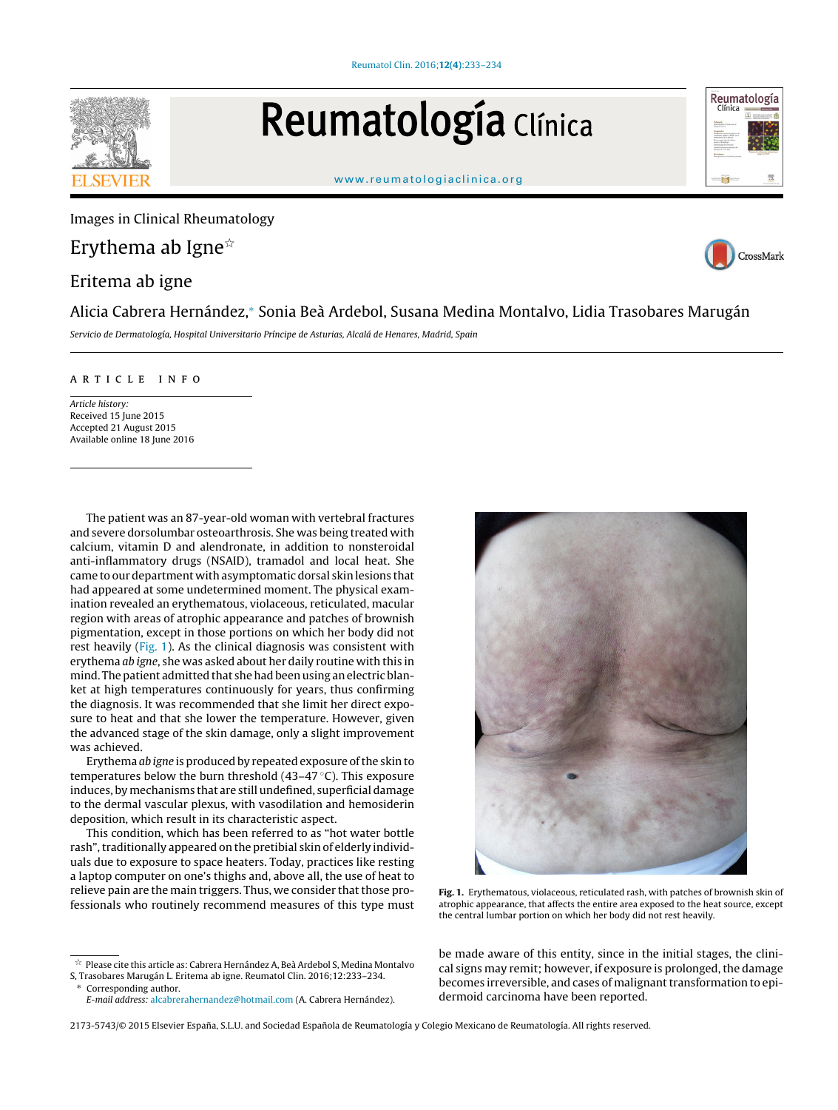

## Reumatología Clínica



Images in Clinical Rheumatology

Erythema ab Igne $\overline{\mathbb{R}}$ 

Eritema ab igne

Alicia Cabrera Hernández,<sup>∗</sup> Sonia Beà Ardebol, Susana Medina Montalvo, Lidia Trasobares Marugán

Servicio de Dermatología, Hospital Universitario Príncipe de Asturias, Alcalá de Henares, Madrid, Spain

## a r t i c l e i n f o

Article history: Received 15 June 2015 Accepted 21 August 2015 Available online 18 June 2016

The patient was an 87-year-old woman with vertebral fractures and severe dorsolumbar osteoarthrosis. She was being treated with calcium, vitamin D and alendronate, in addition to nonsteroidal anti-inflammatory drugs (NSAID), tramadol and local heat. She came to our department with asymptomatic dorsal skin lesions that had appeared at some undetermined moment. The physical examination revealed an erythematous, violaceous, reticulated, macular region with areas of atrophic appearance and patches of brownish pigmentation, except in those portions on which her body did not rest heavily (Fig. 1). As the clinical diagnosis was consistent with erythema ab igne, she was asked about her daily routine with this in mind. The patient admitted that she had been using an electric blanket at high temperatures continuously for years, thus confirming the diagnosis. It was recommended that she limit her direct exposure to heat and that she lower the temperature. However, given the advanced stage of the skin damage, only a slight improvement was achieved.

Erythema ab igne is produced by repeated exposure ofthe skin to temperatures below the burn threshold  $(43-47 \degree C)$ . This exposure induces, by mechanisms that are still undefined, superficial damage to the dermal vascular plexus, with vasodilation and hemosiderin deposition, which result in its characteristic aspect.

This condition, which has been referred to as "hot water bottle rash", traditionally appeared on the pretibial skin of elderly individuals due to exposure to space heaters. Today, practices like resting a laptop computer on one's thighs and, above all, the use of heat to relieve pain are the main triggers. Thus, we consider that those professionals who routinely recommend measures of this type must

 $^\star$  Please cite this article as: Cabrera Hernández A, Beà Ardebol S, Medina Montalvo S, Trasobares Marugán L. Eritema ab igne. Reumatol Clin. 2016;12:233–234.



Reumatología

CrossMark

Clínica

Fig. 1. Erythematous, violaceous, reticulated rash, with patches of brownish skin of atrophic appearance, that affects the entire area exposed to the heat source, except the central lumbar portion on which her body did not rest heavily.

be made aware of this entity, since in the initial stages, the clinical signs may remit; however, if exposure is prolonged, the damage becomes irreversible, and cases of malignant transformation to epidermoid carcinoma have been reported.

2173-5743/© 2015 Elsevier España, S.L.U. and Sociedad Española de Reumatología y Colegio Mexicano de Reumatología. All rights reserved.

Corresponding author. E-mail address: [alcabrerahernandez@hotmail.com](mailto:alcabrerahernandez@hotmail.com) (A. Cabrera Hernández).